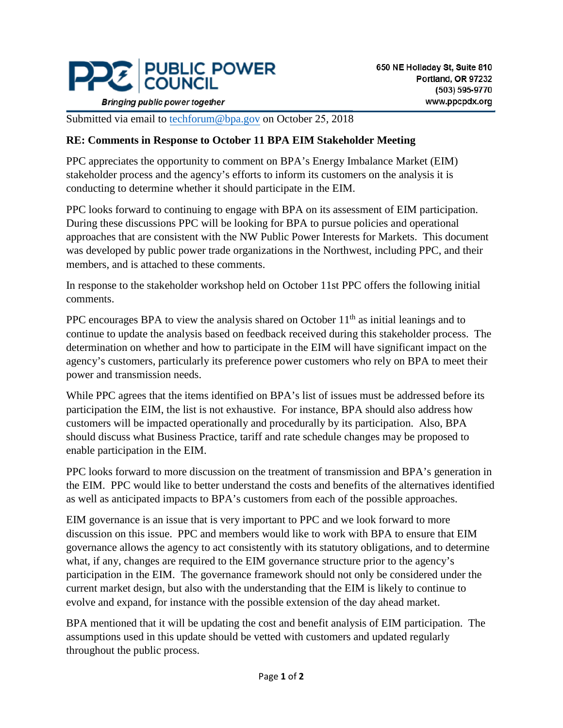

**Bringing public power together** 

Submitted via email to [techforum@bpa.gov](mailto:techforum@bpa.gov) on October 25, 2018

## **RE: Comments in Response to October 11 BPA EIM Stakeholder Meeting**

PPC appreciates the opportunity to comment on BPA's Energy Imbalance Market (EIM) stakeholder process and the agency's efforts to inform its customers on the analysis it is conducting to determine whether it should participate in the EIM.

PPC looks forward to continuing to engage with BPA on its assessment of EIM participation. During these discussions PPC will be looking for BPA to pursue policies and operational approaches that are consistent with the NW Public Power Interests for Markets. This document was developed by public power trade organizations in the Northwest, including PPC, and their members, and is attached to these comments.

In response to the stakeholder workshop held on October 11st PPC offers the following initial comments.

PPC encourages BPA to view the analysis shared on October  $11<sup>th</sup>$  as initial leanings and to continue to update the analysis based on feedback received during this stakeholder process. The determination on whether and how to participate in the EIM will have significant impact on the agency's customers, particularly its preference power customers who rely on BPA to meet their power and transmission needs.

While PPC agrees that the items identified on BPA's list of issues must be addressed before its participation the EIM, the list is not exhaustive. For instance, BPA should also address how customers will be impacted operationally and procedurally by its participation. Also, BPA should discuss what Business Practice, tariff and rate schedule changes may be proposed to enable participation in the EIM.

PPC looks forward to more discussion on the treatment of transmission and BPA's generation in the EIM. PPC would like to better understand the costs and benefits of the alternatives identified as well as anticipated impacts to BPA's customers from each of the possible approaches.

EIM governance is an issue that is very important to PPC and we look forward to more discussion on this issue. PPC and members would like to work with BPA to ensure that EIM governance allows the agency to act consistently with its statutory obligations, and to determine what, if any, changes are required to the EIM governance structure prior to the agency's participation in the EIM. The governance framework should not only be considered under the current market design, but also with the understanding that the EIM is likely to continue to evolve and expand, for instance with the possible extension of the day ahead market.

BPA mentioned that it will be updating the cost and benefit analysis of EIM participation. The assumptions used in this update should be vetted with customers and updated regularly throughout the public process.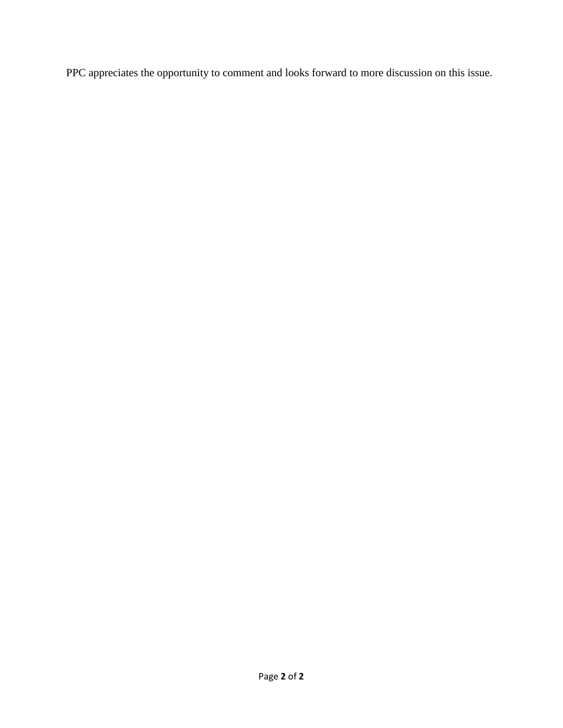PPC appreciates the opportunity to comment and looks forward to more discussion on this issue.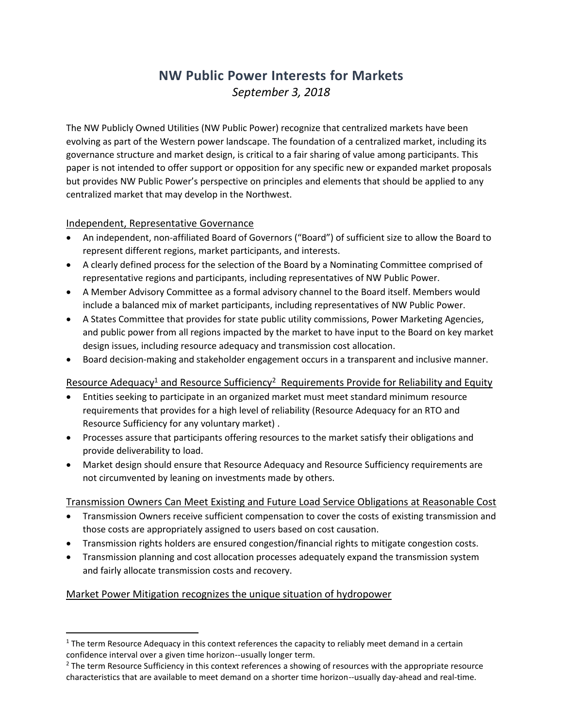# **NW Public Power Interests for Markets** *September 3, 2018*

The NW Publicly Owned Utilities (NW Public Power) recognize that centralized markets have been evolving as part of the Western power landscape. The foundation of a centralized market, including its governance structure and market design, is critical to a fair sharing of value among participants. This paper is not intended to offer support or opposition for any specific new or expanded market proposals but provides NW Public Power's perspective on principles and elements that should be applied to any centralized market that may develop in the Northwest.

#### Independent, Representative Governance

- An independent, non-affiliated Board of Governors ("Board") of sufficient size to allow the Board to represent different regions, market participants, and interests.
- A clearly defined process for the selection of the Board by a Nominating Committee comprised of representative regions and participants, including representatives of NW Public Power.
- A Member Advisory Committee as a formal advisory channel to the Board itself. Members would include a balanced mix of market participants, including representatives of NW Public Power.
- A States Committee that provides for state public utility commissions, Power Marketing Agencies, and public power from all regions impacted by the market to have input to the Board on key market design issues, including resource adequacy and transmission cost allocation.
- Board decision-making and stakeholder engagement occurs in a transparent and inclusive manner.

## Resource Adequacy<sup>1</sup> and Resource Sufficiency<sup>2</sup> Requirements Provide for Reliability and Equity

- Entities seeking to participate in an organized market must meet standard minimum resource requirements that provides for a high level of reliability (Resource Adequacy for an RTO and Resource Sufficiency for any voluntary market) .
- Processes assure that participants offering resources to the market satisfy their obligations and provide deliverability to load.
- Market design should ensure that Resource Adequacy and Resource Sufficiency requirements are not circumvented by leaning on investments made by others.

#### Transmission Owners Can Meet Existing and Future Load Service Obligations at Reasonable Cost

- Transmission Owners receive sufficient compensation to cover the costs of existing transmission and those costs are appropriately assigned to users based on cost causation.
- Transmission rights holders are ensured congestion/financial rights to mitigate congestion costs.
- Transmission planning and cost allocation processes adequately expand the transmission system and fairly allocate transmission costs and recovery.

## Market Power Mitigation recognizes the unique situation of hydropower

 $\overline{\phantom{a}}$ 

 $1$  The term Resource Adequacy in this context references the capacity to reliably meet demand in a certain confidence interval over a given time horizon--usually longer term.

<sup>&</sup>lt;sup>2</sup> The term Resource Sufficiency in this context references a showing of resources with the appropriate resource characteristics that are available to meet demand on a shorter time horizon--usually day-ahead and real-time.